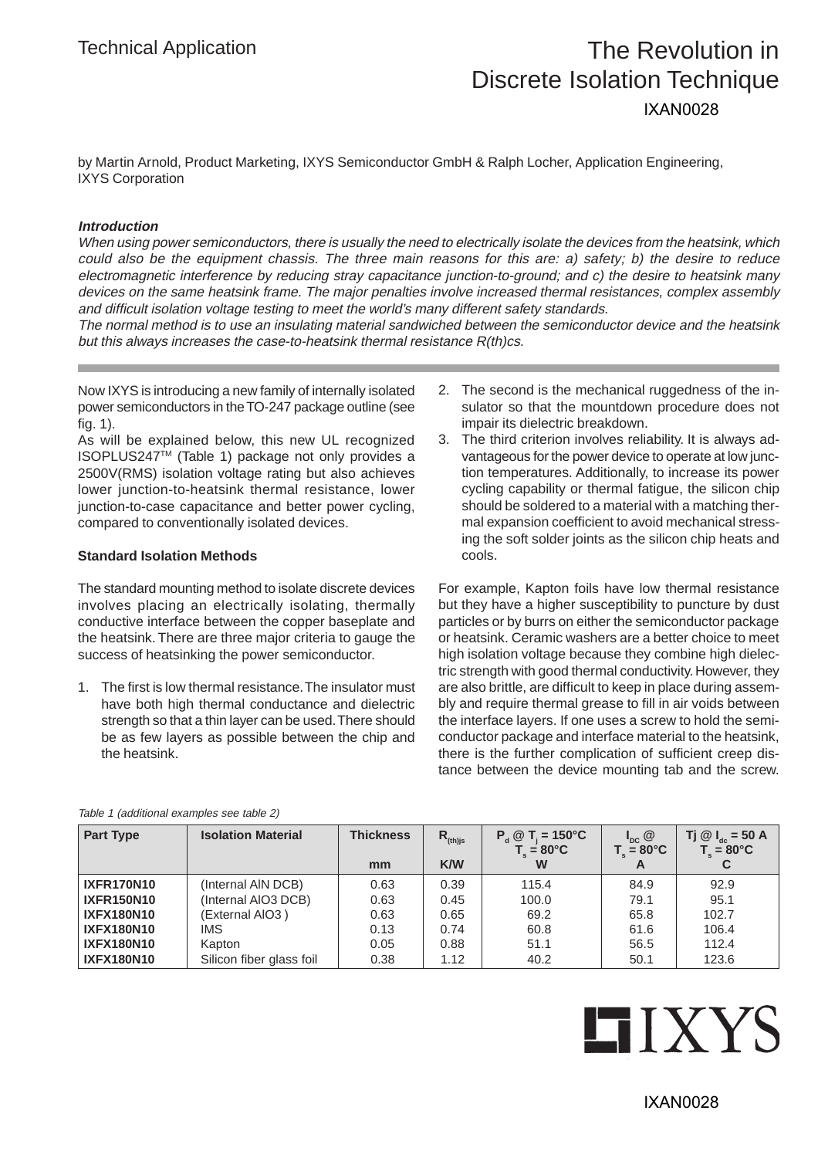# Technical Application The Revolution in Discrete Isolation Technique IXAN0028

by Martin Arnold, Product Marketing, IXYS Semiconductor GmbH & Ralph Locher, Application Engineering, IXYS Corporation

### **Introduction**

When using power semiconductors, there is usually the need to electrically isolate the devices from the heatsink, which could also be the equipment chassis. The three main reasons for this are: a) safety; b) the desire to reduce electromagnetic interference by reducing stray capacitance junction-to-ground; and c) the desire to heatsink many devices on the same heatsink frame. The major penalties involve increased thermal resistances, complex assembly and difficult isolation voltage testing to meet the world's many different safety standards.

The normal method is to use an insulating material sandwiched between the semiconductor device and the heatsink but this always increases the case-to-heatsink thermal resistance R(th)cs.

Now IXYS is introducing a new family of internally isolated power semiconductors in the TO-247 package outline (see fig. 1).

As will be explained below, this new UL recognized ISOPLUS247TM (Table 1) package not only provides a 2500V(RMS) isolation voltage rating but also achieves lower junction-to-heatsink thermal resistance, lower junction-to-case capacitance and better power cycling, compared to conventionally isolated devices.

#### **Standard Isolation Methods**

The standard mounting method to isolate discrete devices involves placing an electrically isolating, thermally conductive interface between the copper baseplate and the heatsink. There are three major criteria to gauge the success of heatsinking the power semiconductor.

1. The first is low thermal resistance. The insulator must have both high thermal conductance and dielectric strength so that a thin layer can be used. There should be as few layers as possible between the chip and the heatsink.

- 2. The second is the mechanical ruggedness of the insulator so that the mountdown procedure does not impair its dielectric breakdown.
- 3. The third criterion involves reliability. It is always advantageous for the power device to operate at low junction temperatures. Additionally, to increase its power cycling capability or thermal fatigue, the silicon chip should be soldered to a material with a matching thermal expansion coefficient to avoid mechanical stressing the soft solder joints as the silicon chip heats and cools.

For example, Kapton foils have low thermal resistance but they have a higher susceptibility to puncture by dust particles or by burrs on either the semiconductor package or heatsink. Ceramic washers are a better choice to meet high isolation voltage because they combine high dielectric strength with good thermal conductivity. However, they are also brittle, are difficult to keep in place during assembly and require thermal grease to fill in air voids between the interface layers. If one uses a screw to hold the semiconductor package and interface material to the heatsink, there is the further complication of sufficient creep distance between the device mounting tab and the screw.

| <b>Part Type</b>  | <b>Isolation Material</b> | <b>Thickness</b><br>mm | $R_{\text{(th)js}}$<br><b>K/W</b> | $P_{d} \otimes T_{i} = 150^{\circ}C$<br>$T = 80^{\circ}$ C<br>W | $I_{\text{pc}}$ $\omega$<br>$T_{\text{I}} = 80^{\circ}C$<br>A | Tj @ $I_{ac}$ = 50 A<br>$T_{.} = 80^{\circ}$ C |
|-------------------|---------------------------|------------------------|-----------------------------------|-----------------------------------------------------------------|---------------------------------------------------------------|------------------------------------------------|
| <b>IXFR170N10</b> | (Internal AIN DCB)        | 0.63                   | 0.39                              | 115.4                                                           | 84.9                                                          | 92.9                                           |
| <b>IXFR150N10</b> | (Internal AIO3 DCB)       | 0.63                   | 0.45                              | 100.0                                                           | 79.1                                                          | 95.1                                           |
| <b>IXFX180N10</b> | (External AIO3)           | 0.63                   | 0.65                              | 69.2                                                            | 65.8                                                          | 102.7                                          |
| <b>IXFX180N10</b> | <b>IMS</b>                | 0.13                   | 0.74                              | 60.8                                                            | 61.6                                                          | 106.4                                          |
| <b>IXFX180N10</b> | Kapton                    | 0.05                   | 0.88                              | 51.1                                                            | 56.5                                                          | 112.4                                          |
| <b>IXFX180N10</b> | Silicon fiber glass foil  | 0.38                   | 1.12                              | 40.2                                                            | 50.1                                                          | 123.6                                          |

Table 1 (additional examples see table 2)

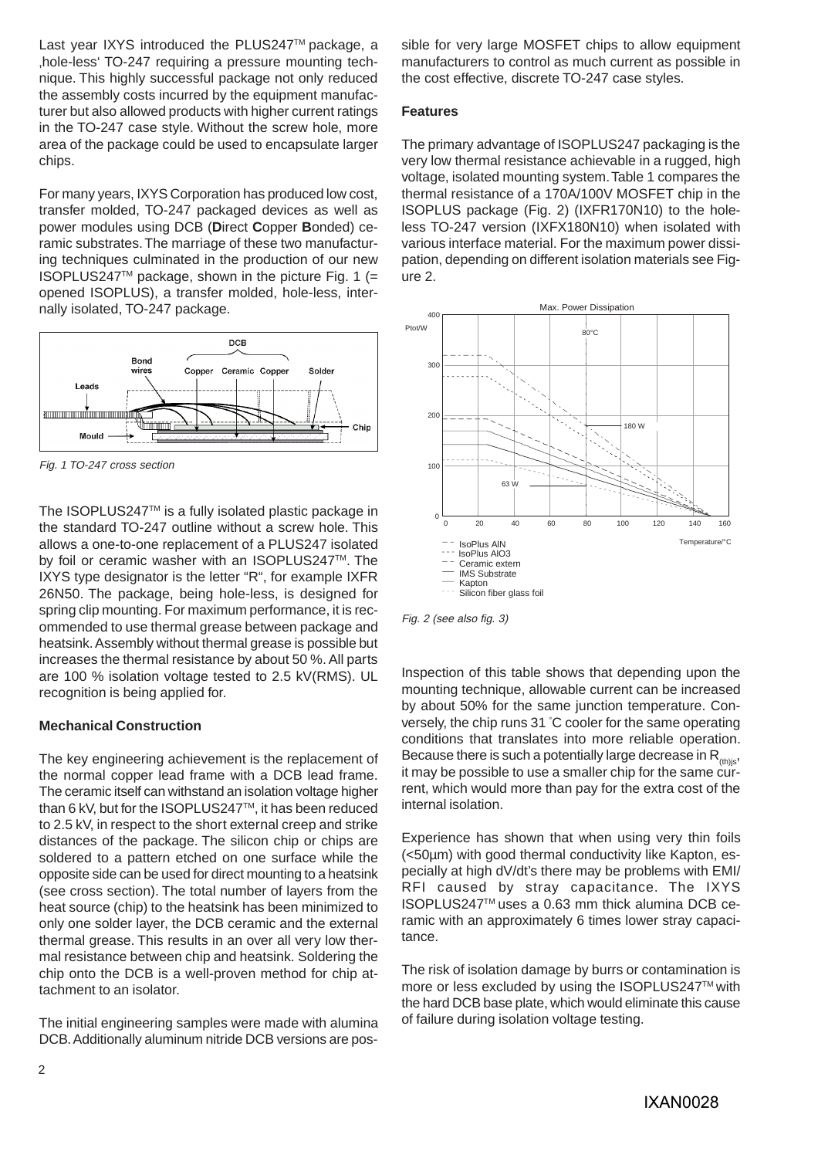Last year IXYS introduced the PLUS247™ package, a , hole-less' TO-247 requiring a pressure mounting technique. This highly successful package not only reduced the assembly costs incurred by the equipment manufacturer but also allowed products with higher current ratings in the TO-247 case style. Without the screw hole, more area of the package could be used to encapsulate larger chips.

For many years, IXYS Corporation has produced low cost, transfer molded, TO-247 packaged devices as well as power modules using DCB (**D**irect **C**opper **B**onded) ceramic substrates. The marriage of these two manufacturing techniques culminated in the production of our new ISOPLUS247<sup>TM</sup> package, shown in the picture Fig. 1 (= opened ISOPLUS), a transfer molded, hole-less, internally isolated, TO-247 package.



Fig. 1 TO-247 cross section

The ISOPLUS247TM is a fully isolated plastic package in the standard TO-247 outline without a screw hole. This allows a one-to-one replacement of a PLUS247 isolated by foil or ceramic washer with an ISOPLUS247™. The IXYS type designator is the letter "R", for example IXFR 26N50. The package, being hole-less, is designed for spring clip mounting. For maximum performance, it is recommended to use thermal grease between package and heatsink. Assembly without thermal grease is possible but increases the thermal resistance by about 50 %. All parts are 100 % isolation voltage tested to 2.5 kV(RMS). UL recognition is being applied for.

# **Mechanical Construction**

The key engineering achievement is the replacement of the normal copper lead frame with a DCB lead frame. The ceramic itself can withstand an isolation voltage higher than 6 kV, but for the ISOPLUS247™, it has been reduced to 2.5 kV, in respect to the short external creep and strike distances of the package. The silicon chip or chips are soldered to a pattern etched on one surface while the opposite side can be used for direct mounting to a heatsink (see cross section). The total number of layers from the heat source (chip) to the heatsink has been minimized to only one solder layer, the DCB ceramic and the external thermal grease. This results in an over all very low thermal resistance between chip and heatsink. Soldering the chip onto the DCB is a well-proven method for chip attachment to an isolator.

The initial engineering samples were made with alumina DCB. Additionally aluminum nitride DCB versions are possible for very large MOSFET chips to allow equipment manufacturers to control as much current as possible in the cost effective, discrete TO-247 case styles.

## **Features**

The primary advantage of ISOPLUS247 packaging is the very low thermal resistance achievable in a rugged, high voltage, isolated mounting system. Table 1 compares the thermal resistance of a 170A/100V MOSFET chip in the ISOPLUS package (Fig. 2) (IXFR170N10) to the holeless TO-247 version (IXFX180N10) when isolated with various interface material. For the maximum power dissipation, depending on different isolation materials see Figure 2.



Fig. 2 (see also fig. 3)

Inspection of this table shows that depending upon the mounting technique, allowable current can be increased by about 50% for the same junction temperature. Conversely, the chip runs 31 ° C cooler for the same operating conditions that translates into more reliable operation. Because there is such a potentially large decrease in  $R_{\text{th}}$ <sub>ithis</sub>, it may be possible to use a smaller chip for the same current, which would more than pay for the extra cost of the internal isolation.

Experience has shown that when using very thin foils (<50µm) with good thermal conductivity like Kapton, especially at high dV/dt's there may be problems with EMI/ RFI caused by stray capacitance. The IXYS ISOPLUS247TM uses a 0.63 mm thick alumina DCB ceramic with an approximately 6 times lower stray capacitance.

The risk of isolation damage by burrs or contamination is more or less excluded by using the ISOPLUS247™ with the hard DCB base plate, which would eliminate this cause of failure during isolation voltage testing.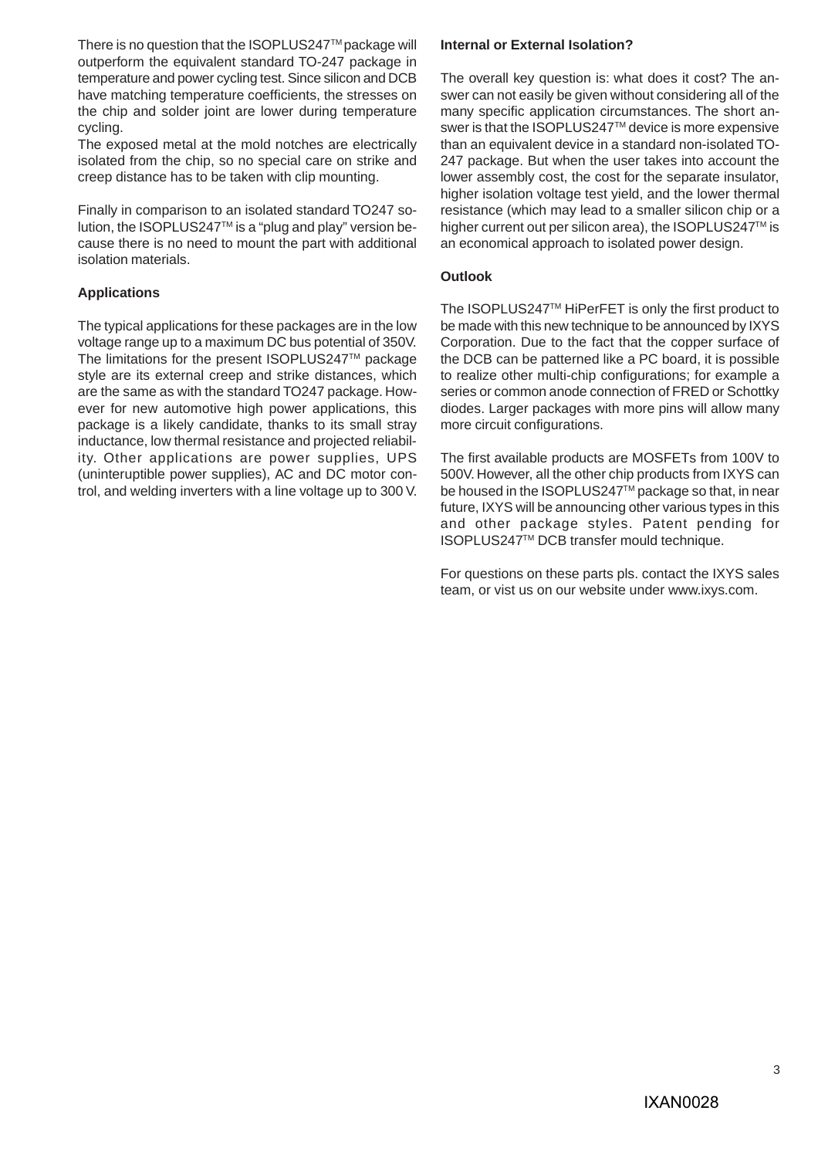There is no question that the ISOPLUS247™ package will outperform the equivalent standard TO-247 package in temperature and power cycling test. Since silicon and DCB have matching temperature coefficients, the stresses on the chip and solder joint are lower during temperature cycling.

The exposed metal at the mold notches are electrically isolated from the chip, so no special care on strike and creep distance has to be taken with clip mounting.

Finally in comparison to an isolated standard TO247 solution, the ISOPLUS247TM is a "plug and play" version because there is no need to mount the part with additional isolation materials.

# **Applications**

The typical applications for these packages are in the low voltage range up to a maximum DC bus potential of 350V. The limitations for the present ISOPLUS247™ package style are its external creep and strike distances, which are the same as with the standard TO247 package. However for new automotive high power applications, this package is a likely candidate, thanks to its small stray inductance, low thermal resistance and projected reliability. Other applications are power supplies, UPS (uninteruptible power supplies), AC and DC motor control, and welding inverters with a line voltage up to 300 V.

### **Internal or External Isolation?**

The overall key question is: what does it cost? The answer can not easily be given without considering all of the many specific application circumstances. The short answer is that the ISOPLUS247™ device is more expensive than an equivalent device in a standard non-isolated TO-247 package. But when the user takes into account the lower assembly cost, the cost for the separate insulator, higher isolation voltage test yield, and the lower thermal resistance (which may lead to a smaller silicon chip or a higher current out per silicon area), the ISOPLUS247™ is an economical approach to isolated power design.

#### **Outlook**

The ISOPLUS247TM HiPerFET is only the first product to be made with this new technique to be announced by IXYS Corporation. Due to the fact that the copper surface of the DCB can be patterned like a PC board, it is possible to realize other multi-chip configurations; for example a series or common anode connection of FRED or Schottky diodes. Larger packages with more pins will allow many more circuit configurations.

The first available products are MOSFETs from 100V to 500V. However, all the other chip products from IXYS can be housed in the ISOPLUS247™ package so that, in near future, IXYS will be announcing other various types in this and other package styles. Patent pending for ISOPLUS247TM DCB transfer mould technique.

For questions on these parts pls. contact the IXYS sales team, or vist us on our website under www.ixys.com.